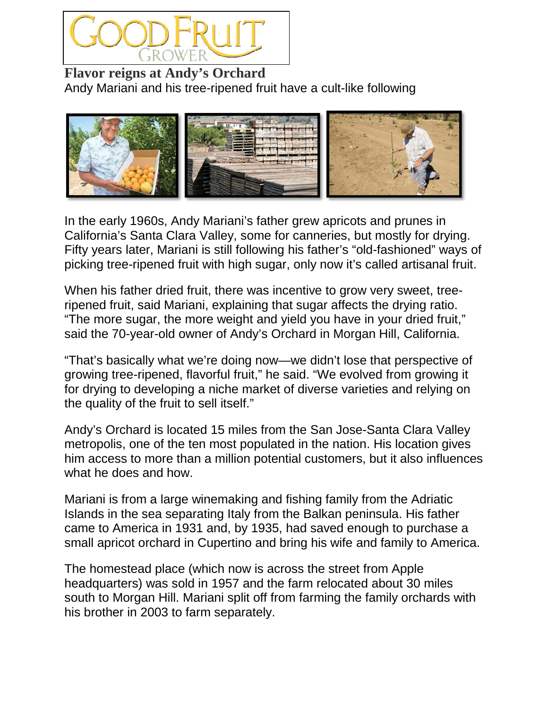

**Flavor reigns at Andy's Orchard** Andy Mariani and his tree-ripened fruit have a cult-like following



In the early 1960s, Andy Mariani's father grew apricots and prunes in California's Santa Clara Valley, some for canneries, but mostly for drying. Fifty years later, Mariani is still following his father's "old-fashioned" ways of picking tree-ripened fruit with high sugar, only now it's called artisanal fruit.

When his father dried fruit, there was incentive to grow very sweet, treeripened fruit, said Mariani, explaining that sugar affects the drying ratio. "The more sugar, the more weight and yield you have in your dried fruit," said the 70-year-old owner of Andy's Orchard in Morgan Hill, California.

"That's basically what we're doing now—we didn't lose that perspective of growing tree-ripened, flavorful fruit," he said. "We evolved from growing it for drying to developing a niche market of diverse varieties and relying on the quality of the fruit to sell itself."

Andy's Orchard is located 15 miles from the San Jose-Santa Clara Valley metropolis, one of the ten most populated in the nation. His location gives him access to more than a million potential customers, but it also influences what he does and how.

Mariani is from a large winemaking and fishing family from the Adriatic Islands in the sea separating Italy from the Balkan peninsula. His father came to America in 1931 and, by 1935, had saved enough to purchase a small apricot orchard in Cupertino and bring his wife and family to America.

The homestead place (which now is across the street from Apple headquarters) was sold in 1957 and the farm relocated about 30 miles south to Morgan Hill. Mariani split off from farming the family orchards with his brother in 2003 to farm separately.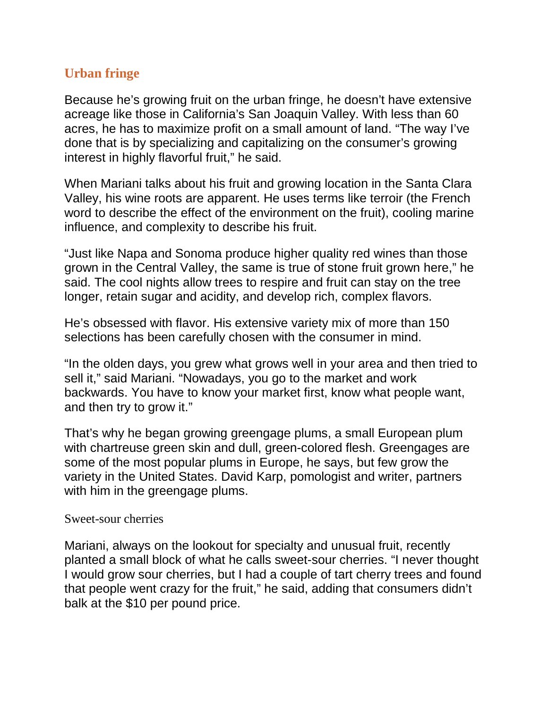# **Urban fringe**

Because he's growing fruit on the urban fringe, he doesn't have extensive acreage like those in California's San Joaquin Valley. With less than 60 acres, he has to maximize profit on a small amount of land. "The way I've done that is by specializing and capitalizing on the consumer's growing interest in highly flavorful fruit," he said.

When Mariani talks about his fruit and growing location in the Santa Clara Valley, his wine roots are apparent. He uses terms like terroir (the French word to describe the effect of the environment on the fruit), cooling marine influence, and complexity to describe his fruit.

"Just like Napa and Sonoma produce higher quality red wines than those grown in the Central Valley, the same is true of stone fruit grown here," he said. The cool nights allow trees to respire and fruit can stay on the tree longer, retain sugar and acidity, and develop rich, complex flavors.

He's obsessed with flavor. His extensive variety mix of more than 150 selections has been carefully chosen with the consumer in mind.

"In the olden days, you grew what grows well in your area and then tried to sell it," said Mariani. "Nowadays, you go to the market and work backwards. You have to know your market first, know what people want, and then try to grow it."

That's why he began growing greengage plums, a small European plum with chartreuse green skin and dull, green-colored flesh. Greengages are some of the most popular plums in Europe, he says, but few grow the variety in the United States. David Karp, pomologist and writer, partners with him in the greengage plums.

#### Sweet-sour cherries

Mariani, always on the lookout for specialty and unusual fruit, recently planted a small block of what he calls sweet-sour cherries. "I never thought I would grow sour cherries, but I had a couple of tart cherry trees and found that people went crazy for the fruit," he said, adding that consumers didn't balk at the \$10 per pound price.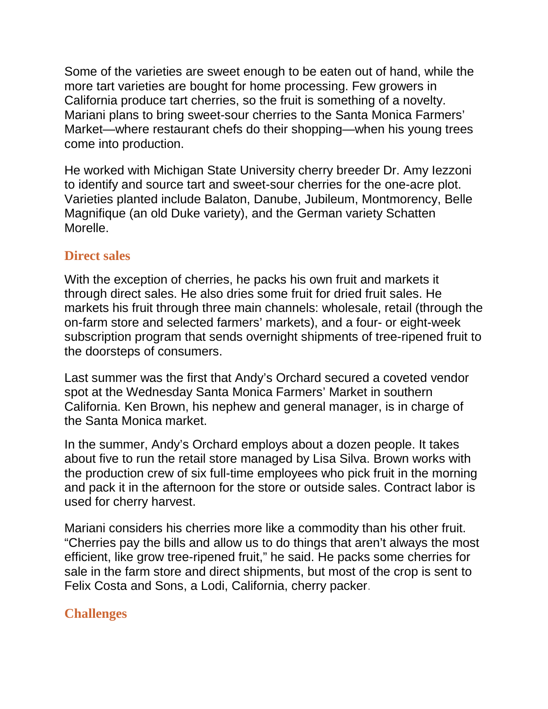Some of the varieties are sweet enough to be eaten out of hand, while the more tart varieties are bought for home processing. Few growers in California produce tart cherries, so the fruit is something of a novelty. Mariani plans to bring sweet-sour cherries to the Santa Monica Farmers' Market—where restaurant chefs do their shopping—when his young trees come into production.

He worked with Michigan State University cherry breeder Dr. Amy Iezzoni to identify and source tart and sweet-sour cherries for the one-acre plot. Varieties planted include Balaton, Danube, Jubileum, Montmorency, Belle Magnifique (an old Duke variety), and the German variety Schatten Morelle.

### **Direct sales**

With the exception of cherries, he packs his own fruit and markets it through direct sales. He also dries some fruit for dried fruit sales. He markets his fruit through three main channels: wholesale, retail (through the on-farm store and selected farmers' markets), and a four- or eight-week subscription program that sends overnight shipments of tree-ripened fruit to the doorsteps of consumers.

Last summer was the first that Andy's Orchard secured a coveted vendor spot at the Wednesday Santa Monica Farmers' Market in southern California. Ken Brown, his nephew and general manager, is in charge of the Santa Monica market.

In the summer, Andy's Orchard employs about a dozen people. It takes about five to run the retail store managed by Lisa Silva. Brown works with the production crew of six full-time employees who pick fruit in the morning and pack it in the afternoon for the store or outside sales. Contract labor is used for cherry harvest.

Mariani considers his cherries more like a commodity than his other fruit. "Cherries pay the bills and allow us to do things that aren't always the most efficient, like grow tree-ripened fruit," he said. He packs some cherries for sale in the farm store and direct shipments, but most of the crop is sent to Felix Costa and Sons, a Lodi, California, cherry packer.

# **Challenges**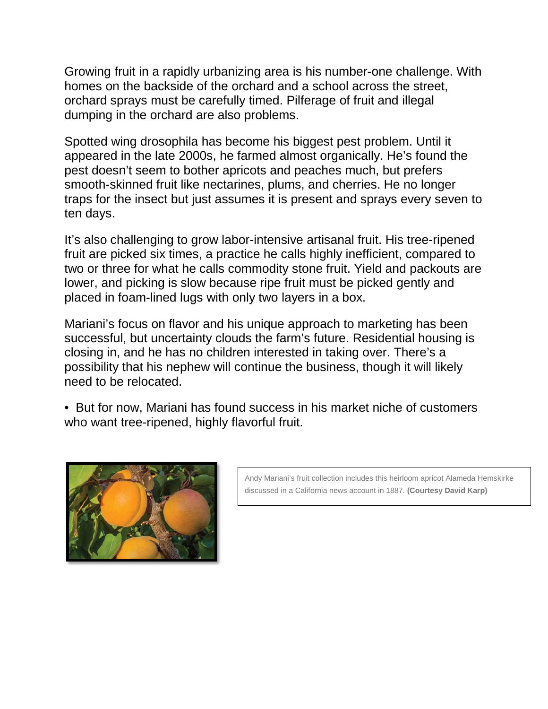Growing fruit in a rapidly urbanizing area is his number-one challenge. With homes on the backside of the orchard and a school across the street, orchard sprays must be carefully timed. Pilferage of fruit and illegal dumping in the orchard are also problems.

Spotted wing drosophila has become his biggest pest problem. Until it appeared in the late 2000s, he farmed almost organically. He's found the pest doesn't seem to bother apricots and peaches much, but prefers smooth-skinned fruit like nectarines, plums, and cherries. He no longer traps for the insect but just assumes it is present and sprays every seven to ten days.

It's also challenging to grow labor-intensive artisanal fruit. His tree-ripened fruit are picked six times, a practice he calls highly inefficient, compared to two or three for what he calls commodity stone fruit. Yield and packouts are lower, and picking is slow because ripe fruit must be picked gently and placed in foam-lined lugs with only two layers in a box.

Mariani's focus on flavor and his unique approach to marketing has been successful, but uncertainty clouds the farm's future. Residential housing is closing in, and he has no children interested in taking over. There's a possibility that his nephew will continue the business, though it will likely need to be relocated.

• But for now, Mariani has found success in his market niche of customers who want tree-ripened, highly flavorful fruit.



Andy Mariani's fruit collection includes this heirloom apricot Alameda Hemskirke discussed in a California news account in 1887. **(Courtesy David Karp)**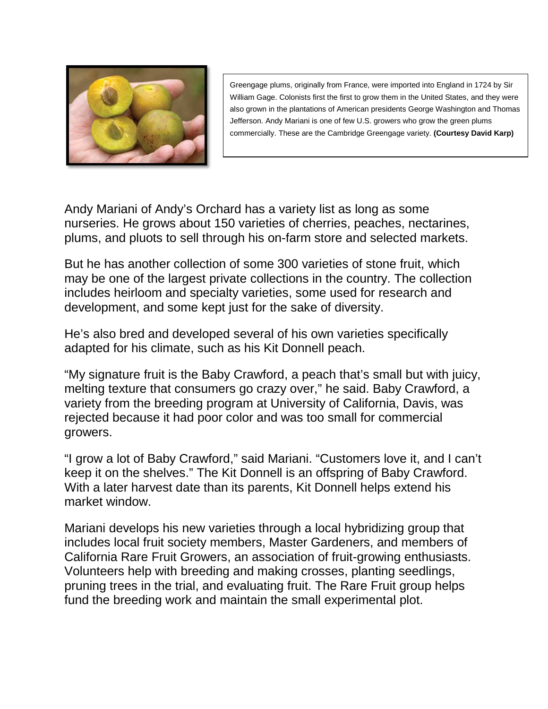

Greengage plums, originally from France, were imported into England in 1724 by Sir William Gage. Colonists first the first to grow them in the United States, and they were also grown in the plantations of American presidents George Washington and Thomas Jefferson. Andy Mariani is one of few U.S. growers who grow the green plums commercially. These are the Cambridge Greengage variety. **(Courtesy David Karp)**

Andy Mariani of Andy's Orchard has a variety list as long as some nurseries. He grows about 150 varieties of cherries, peaches, nectarines, plums, and pluots to sell through his on-farm store and selected markets.

But he has another collection of some 300 varieties of stone fruit, which may be one of the largest private collections in the country. The collection includes heirloom and specialty varieties, some used for research and development, and some kept just for the sake of diversity.

He's also bred and developed several of his own varieties specifically adapted for his climate, such as his Kit Donnell peach.

"My signature fruit is the Baby Crawford, a peach that's small but with juicy, melting texture that consumers go crazy over," he said. Baby Crawford, a variety from the breeding program at University of California, Davis, was rejected because it had poor color and was too small for commercial growers.

"I grow a lot of Baby Crawford," said Mariani. "Customers love it, and I can't keep it on the shelves." The Kit Donnell is an offspring of Baby Crawford. With a later harvest date than its parents, Kit Donnell helps extend his market window.

Mariani develops his new varieties through a local hybridizing group that includes local fruit society members, Master Gardeners, and members of California Rare Fruit Growers, an association of fruit-growing enthusiasts. Volunteers help with breeding and making crosses, planting seedlings, pruning trees in the trial, and evaluating fruit. The Rare Fruit group helps fund the breeding work and maintain the small experimental plot.